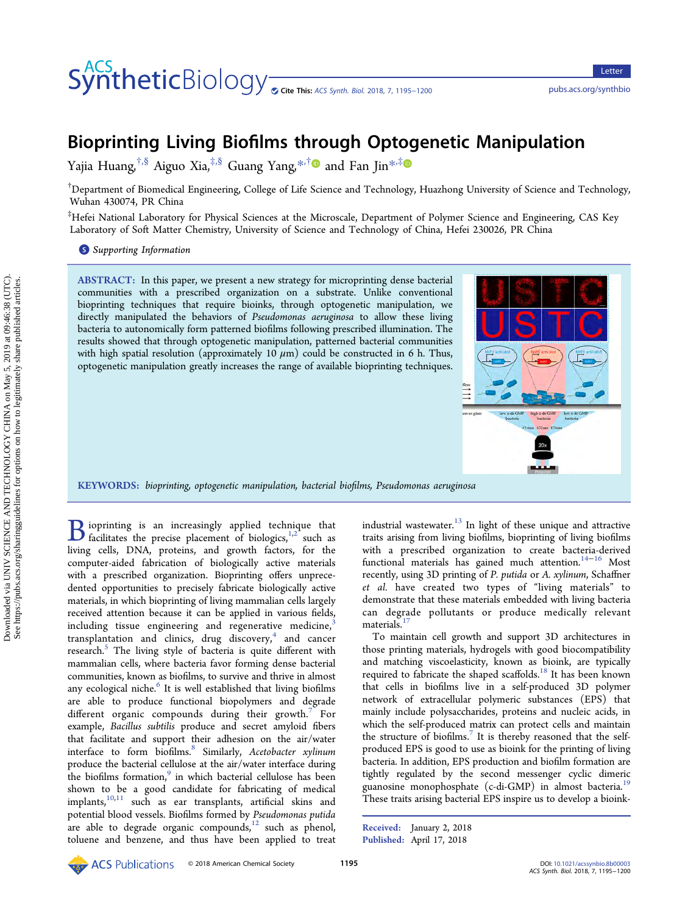# COLLET CHOODY <sub>On Cite</sub> This: [ACS Synth. Biol.](http://pubs.acs.org/action/showCitFormats?doi=10.1021/acssynbio.8b00003) 2018, 7, 1195–1200 <pubs.acs.org/synthbio>

# Bioprinting Living Biofilms through Optogenetic Manipulation

Yajia Huang,<sup>†,[§](#page-4-0)</sup> Aiguo Xia,<sup>‡,§</sup> Guang Yang,<sup>[\\*](#page-4-0),†</sup><sup>●</sup> and Fan Jin<sup>\*,‡●</sup>

 $^\dagger$ Department of Biomedical Engineering, College of Life Science and Technology, Huazhong University of Science and Technology, Wuhan 430074, PR China

‡ Hefei National Laboratory for Physical Sciences at the Microscale, Department of Polymer Science and Engineering, CAS Key Laboratory of Soft Matter Chemistry, University of Science and Technology of China, Hefei 230026, PR China

**S** [Supporting Information](#page-4-0)

ABSTRACT: In this paper, we present a new strategy for microprinting dense bacterial communities with a prescribed organization on a substrate. Unlike conventional bioprinting techniques that require bioinks, through optogenetic manipulation, we directly manipulated the behaviors of Pseudomonas aeruginosa to allow these living bacteria to autonomically form patterned biofilms following prescribed illumination. The results showed that through optogenetic manipulation, patterned bacterial communities with high spatial resolution (approximately 10  $\mu$ m) could be constructed in 6 h. Thus, optogenetic manipulation greatly increases the range of available bioprinting techniques.



KEYWORDS: bioprinting, optogenetic manipulation, bacterial biofilms, Pseudomonas aeruginosa

 $\mathbf{B}$  ioprinting is an increasingly applied tech[niq](#page-4-0)ue that<br>facilitates the precise placement of biologics,<sup>1,2</sup> such as<br>living cells. DNA protains, and growth factors for the living cells, DNA, proteins, and growth factors, for the computer-aided fabrication of biologically active materials with a prescribed organization. Bioprinting offers unprecedented opportunities to precisely fabricate biologically active materials, in which bioprinting of living mammalian cells largely received attention because it can be applied in various fields, including tissue engineering and regenerative medicine, transplantation and clinics, drug discovery, $4$  and cancer research.<sup>[5](#page-4-0)</sup> The living style of bacteria is quite different with mammalian cells, where bacteria favor forming dense bacterial communities, known as biofilms, to survive and thrive in almost any ecological niche.<sup>[6](#page-4-0)</sup> It is well established that living biofilms are able to produce functional biopolymers and degrade different organic compounds during their growth.<sup>[7](#page-4-0)</sup> For example, Bacillus subtilis produce and secret amyloid fibers that facilitate and support their adhesion on the air/water interface to form biofilms.<sup>[8](#page-4-0)</sup> Similarly, Acetobacter xylinum produce the bacterial cellulose at the air/water interface during the biofilms formation, $9$  in which bacterial cellulose has been shown to be a good candidate for fabricating of medical implants,<sup>[10](#page-4-0),[11](#page-4-0)</sup> such as ear transplants, artificial skins and potential blood vessels. Biofilms formed by Pseudomonas putida are able to degrade organic compounds,<sup>[12](#page-4-0)</sup> such as phenol, toluene and benzene, and thus have been applied to treat industrial wastewater. $^{13}$  $^{13}$  $^{13}$  In light of these unique and attractive traits arising from living biofilms, bioprinting of living biofilms with a prescribed organization to create bacteria-derived functional materials has gained much attention.<sup>[14](#page-4-0)−[16](#page-4-0)</sup> Most recently, using 3D printing of P. putida or A. xylinum, Schaffner et al. have created two types of "living materials" to demonstrate that these materials embedded with living bacteria can degrade pollutants or produce medically relevant materials.<sup>[17](#page-4-0)</sup>

To maintain cell growth and support 3D architectures in those printing materials, hydrogels with good biocompatibility and matching viscoelasticity, known as bioink, are typically required to fabricate the shaped scaffolds.<sup>18</sup> It has been known that cells in biofilms live in a self-produced 3D polymer network of extracellular polymeric substances (EPS) that mainly include polysaccharides, proteins and nucleic acids, in which the self-produced matrix can protect cells and maintain the structure of biofilms.<sup>[7](#page-4-0)</sup> It is thereby reasoned that the selfproduced EPS is good to use as bioink for the printing of living bacteria. In addition, EPS production and biofilm formation are tightly regulated by the second messenger cyclic dimeric guanosine monophosphate (c-di-GMP) in almost bacteria.<sup>[19](#page-4-0)</sup> These traits arising bacterial EPS inspire us to develop a bioink-

Received: January 2, 2018 Published: April 17, 2018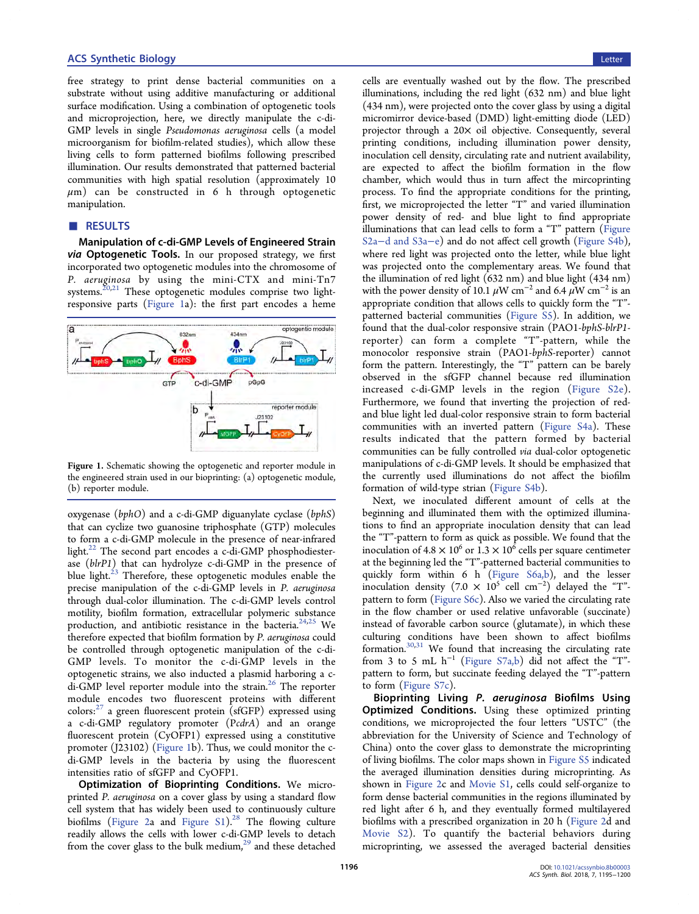#### **ACS Synthetic Biology Letter and Synthetic Biology Letter and Synthetic Biology Letter and Synthetic Biology Letter and Synthetic Biology Letter and Synthetic Biology Letter and Synthetic Biology Letter and Synthetic Biol**

free strategy to print dense bacterial communities on a substrate without using additive manufacturing or additional surface modification. Using a combination of optogenetic tools and microprojection, here, we directly manipulate the c-di-GMP levels in single Pseudomonas aeruginosa cells (a model microorganism for biofilm-related studies), which allow these living cells to form patterned biofilms following prescribed illumination. Our results demonstrated that patterned bacterial communities with high spatial resolution (approximately 10  $\mu$ m) can be constructed in 6 h through optogenetic manipulation.

# ■ RESULTS

Manipulation of c-di-GMP Levels of Engineered Strain via Optogenetic Tools. In our proposed strategy, we first incorporated two optogenetic modules into the chromosome of P. aeruginosa by using the mini-CTX and mini-Tn7 systems.<sup>[20,21](#page-4-0)</sup> These optogenetic modules comprise two lightresponsive parts (Figure 1a): the first part encodes a heme



Figure 1. Schematic showing the optogenetic and reporter module in the engineered strain used in our bioprinting: (a) optogenetic module, (b) reporter module.

oxygenase (bphO) and a c-di-GMP diguanylate cyclase (bphS) that can cyclize two guanosine triphosphate (GTP) molecules to form a c-di-GMP molecule in the presence of near-infrared light. $^{22}$  The second part encodes a c-di-GMP phosphodiesterase (blrP1) that can hydrolyze c-di-GMP in the presence of blue light. $^{23}$  $^{23}$  $^{23}$  Therefore, these optogenetic modules enable the precise manipulation of the c-di-GMP levels in P. aeruginosa through dual-color illumination. The c-di-GMP levels control motility, biofilm formation, extracellular polymeric substance production, and antibiotic resistance in the bacteria.<sup>[24,](#page-4-0)[25](#page-5-0)</sup> We therefore expected that biofilm formation by P. aeruginosa could be controlled through optogenetic manipulation of the c-di-GMP levels. To monitor the c-di-GMP levels in the optogenetic strains, we also inducted a plasmid harboring a c-di-GMP level reporter module into the strain.<sup>[26](#page-5-0)</sup> The reporter module encodes two fluorescent proteins with different colors:<sup>[27](#page-5-0)</sup> a green fluorescent protein (sfGFP) expressed using a c-di-GMP regulatory promoter (PcdrA) and an orange fluorescent protein (CyOFP1) expressed using a constitutive promoter (J23102) (Figure 1b). Thus, we could monitor the cdi-GMP levels in the bacteria by using the fluorescent intensities ratio of sfGFP and CyOFP1.

Optimization of Bioprinting Conditions. We microprinted P. aeruginosa on a cover glass by using a standard flow cell system that has widely been used to continuously culture biofilms ([Figure 2](#page-2-0)a and [Figure S1\)](http://pubs.acs.org/doi/suppl/10.1021/acssynbio.8b00003/suppl_file/sb8b00003_si_001.pdf).<sup>[28](#page-5-0)</sup> The flowing culture readily allows the cells with lower c-di-GMP levels to detach from the cover glass to the bulk medium, $^{29}$  $^{29}$  $^{29}$  and these detached

cells are eventually washed out by the flow. The prescribed illuminations, including the red light (632 nm) and blue light (434 nm), were projected onto the cover glass by using a digital micromirror device-based (DMD) light-emitting diode (LED) projector through a 20× oil objective. Consequently, several printing conditions, including illumination power density, inoculation cell density, circulating rate and nutrient availability, are expected to affect the biofilm formation in the flow chamber, which would thus in turn affect the mircoprinting process. To find the appropriate conditions for the printing, first, we microprojected the letter "T" and varied illumination power density of red- and blue light to find appropriate illuminations that can lead cells to form a "T" pattern [\(Figure](http://pubs.acs.org/doi/suppl/10.1021/acssynbio.8b00003/suppl_file/sb8b00003_si_001.pdf) S2a−[d and S3a](http://pubs.acs.org/doi/suppl/10.1021/acssynbio.8b00003/suppl_file/sb8b00003_si_001.pdf)−e) and do not affect cell growth [\(Figure S4b\)](http://pubs.acs.org/doi/suppl/10.1021/acssynbio.8b00003/suppl_file/sb8b00003_si_001.pdf), where red light was projected onto the letter, while blue light was projected onto the complementary areas. We found that the illumination of red light (632 nm) and blue light (434 nm) with the power density of 10.1  $\mu$ W cm<sup>-2</sup> and 6.4  $\mu$ W cm<sup>-2</sup> is an appropriate condition that allows cells to quickly form the "T" patterned bacterial communities ([Figure S5\)](http://pubs.acs.org/doi/suppl/10.1021/acssynbio.8b00003/suppl_file/sb8b00003_si_001.pdf). In addition, we found that the dual-color responsive strain (PAO1-bphS-blrP1 reporter) can form a complete "T"-pattern, while the monocolor responsive strain (PAO1-bphS-reporter) cannot form the pattern. Interestingly, the "T" pattern can be barely observed in the sfGFP channel because red illumination increased c-di-GMP levels in the region ([Figure S2e](http://pubs.acs.org/doi/suppl/10.1021/acssynbio.8b00003/suppl_file/sb8b00003_si_001.pdf)). Furthermore, we found that inverting the projection of redand blue light led dual-color responsive strain to form bacterial communities with an inverted pattern [\(Figure S4a](http://pubs.acs.org/doi/suppl/10.1021/acssynbio.8b00003/suppl_file/sb8b00003_si_001.pdf)). These results indicated that the pattern formed by bacterial communities can be fully controlled via dual-color optogenetic manipulations of c-di-GMP levels. It should be emphasized that the currently used illuminations do not affect the biofilm formation of wild-type strian [\(Figure S4b](http://pubs.acs.org/doi/suppl/10.1021/acssynbio.8b00003/suppl_file/sb8b00003_si_001.pdf)).

Next, we inoculated different amount of cells at the beginning and illuminated them with the optimized illuminations to find an appropriate inoculation density that can lead the "T"-pattern to form as quick as possible. We found that the inoculation of  $4.8 \times 10^6$  or  $1.3 \times 10^6$  cells per square centimeter at the beginning led the "T"-patterned bacterial communities to quickly form within 6 h ([Figure S6a,b\)](http://pubs.acs.org/doi/suppl/10.1021/acssynbio.8b00003/suppl_file/sb8b00003_si_001.pdf), and the lesser inoculation density (7.0  $\times$  10<sup>5</sup> cell cm<sup>-2</sup>) delayed the "T"pattern to form ([Figure S6c\)](http://pubs.acs.org/doi/suppl/10.1021/acssynbio.8b00003/suppl_file/sb8b00003_si_001.pdf). Also we varied the circulating rate in the flow chamber or used relative unfavorable (succinate) instead of favorable carbon source (glutamate), in which these culturing conditions have been shown to affect biofilms formation.[30,31](#page-5-0) We found that increasing the circulating rate from 3 to 5 mL h<sup>−</sup><sup>1</sup> [\(Figure S7a,b\)](http://pubs.acs.org/doi/suppl/10.1021/acssynbio.8b00003/suppl_file/sb8b00003_si_001.pdf) did not affect the "T" pattern to form, but succinate feeding delayed the "T"-pattern to form [\(Figure S7c](http://pubs.acs.org/doi/suppl/10.1021/acssynbio.8b00003/suppl_file/sb8b00003_si_001.pdf)).

Bioprinting Living P. aeruginosa Biofilms Using Optimized Conditions. Using these optimized printing conditions, we microprojected the four letters "USTC" (the abbreviation for the University of Science and Technology of China) onto the cover glass to demonstrate the microprinting of living biofilms. The color maps shown in [Figure S5](http://pubs.acs.org/doi/suppl/10.1021/acssynbio.8b00003/suppl_file/sb8b00003_si_001.pdf) indicated the averaged illumination densities during microprinting. As shown in [Figure 2](#page-2-0)c and [Movie S1,](http://pubs.acs.org/doi/suppl/10.1021/acssynbio.8b00003/suppl_file/sb8b00003_si_002.avi) cells could self-organize to form dense bacterial communities in the regions illuminated by red light after 6 h, and they eventually formed multilayered biofilms with a prescribed organization in 20 h ([Figure 2d](#page-2-0) and [Movie S2\)](http://pubs.acs.org/doi/suppl/10.1021/acssynbio.8b00003/suppl_file/sb8b00003_si_003.avi). To quantify the bacterial behaviors during microprinting, we assessed the averaged bacterial densities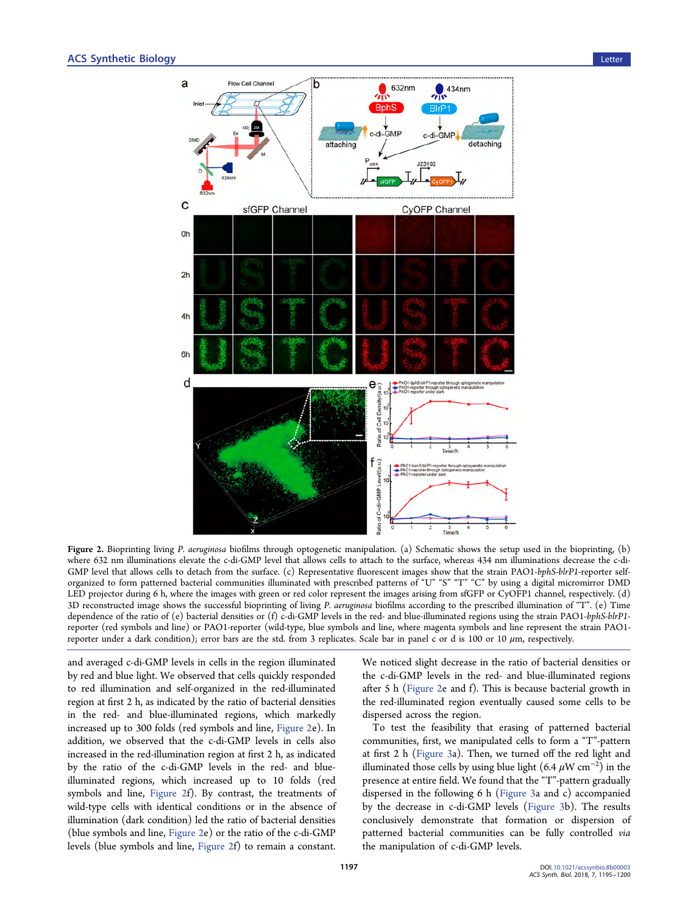<span id="page-2-0"></span>

Figure 2. Bioprinting living P. aeruginosa biofilms through optogenetic manipulation. (a) Schematic shows the setup used in the bioprinting, (b) where 632 nm illuminations elevate the c-di-GMP level that allows cells to attach to the surface, whereas 434 nm illuminations decrease the c-di-GMP level that allows cells to detach from the surface. (c) Representative fluorescent images show that the strain PAO1-bphS-blrP1-reporter selforganized to form patterned bacterial communities illuminated with prescribed patterns of "U" "S" "T" "C" by using a digital micromirror DMD LED projector during 6 h, where the images with green or red color represent the images arising from sfGFP or CyOFP1 channel, respectively. (d) 3D reconstructed image shows the successful bioprinting of living P. aeruginosa biofilms according to the prescribed illumination of "T". (e) Time dependence of the ratio of (e) bacterial densities or (f) c-di-GMP levels in the red- and blue-illuminated regions using the strain PAO1-bphS-blrP1 reporter (red symbols and line) or PAO1-reporter (wild-type, blue symbols and line, where magenta symbols and line represent the strain PAO1 reporter under a dark condition); error bars are the std. from 3 replicates. Scale bar in panel c or d is 100 or 10  $\mu$ m, respectively.

and averaged c-di-GMP levels in cells in the region illuminated by red and blue light. We observed that cells quickly responded to red illumination and self-organized in the red-illuminated region at first 2 h, as indicated by the ratio of bacterial densities in the red- and blue-illuminated regions, which markedly increased up to 300 folds (red symbols and line, Figure 2e). In addition, we observed that the c-di-GMP levels in cells also increased in the red-illumination region at first 2 h, as indicated by the ratio of the c-di-GMP levels in the red- and blueilluminated regions, which increased up to 10 folds (red symbols and line, Figure 2f). By contrast, the treatments of wild-type cells with identical conditions or in the absence of illumination (dark condition) led the ratio of bacterial densities (blue symbols and line, Figure 2e) or the ratio of the c-di-GMP levels (blue symbols and line, Figure 2f) to remain a constant.

We noticed slight decrease in the ratio of bacterial densities or the c-di-GMP levels in the red- and blue-illuminated regions after 5 h (Figure 2e and f). This is because bacterial growth in the red-illuminated region eventually caused some cells to be dispersed across the region.

To test the feasibility that erasing of patterned bacterial communities, first, we manipulated cells to form a "T"-pattern at first 2 h ([Figure 3a](#page-3-0)). Then, we turned off the red light and illuminated those cells by using blue light (6.4  $\mu \text{W cm}^{-2})$  in the presence at entire field. We found that the "T"-pattern gradually dispersed in the following 6 h [\(Figure 3](#page-3-0)a and c) accompanied by the decrease in c-di-GMP levels [\(Figure 3b](#page-3-0)). The results conclusively demonstrate that formation or dispersion of patterned bacterial communities can be fully controlled via the manipulation of c-di-GMP levels.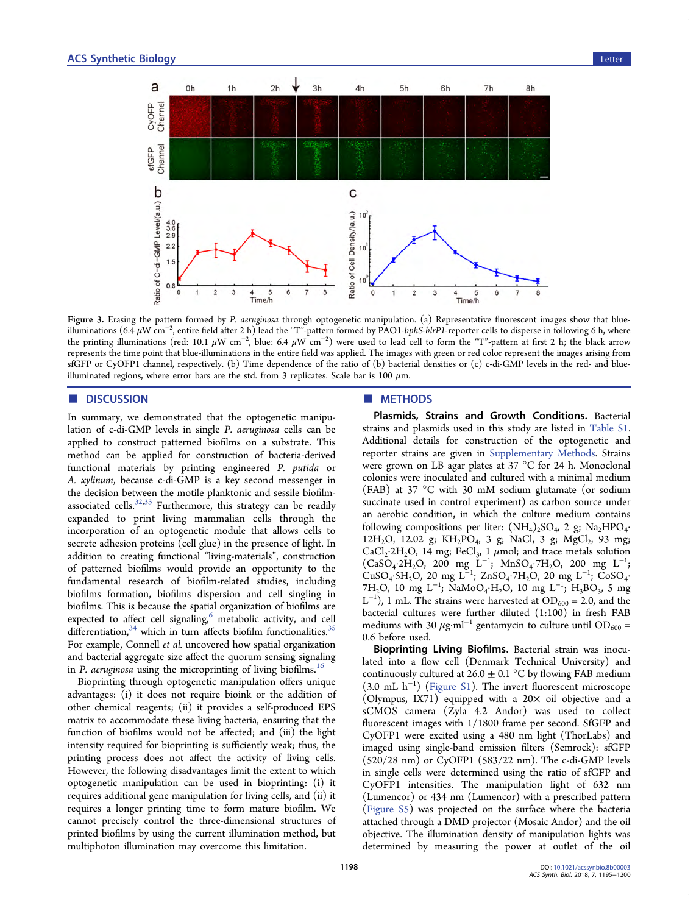<span id="page-3-0"></span>

Figure 3. Erasing the pattern formed by P. aeruginosa through optogenetic manipulation. (a) Representative fluorescent images show that blueilluminations (6.4 µW cm<sup>−2</sup>, entire field after 2 h) lead the "T"-pattern formed by PAO1-*bphS-blrP1-*reporter cells to disperse in following 6 h, where the printing illuminations (red: 10.1 µW cm<sup>−2</sup>, blue: 6.4 µW cm<sup>−2</sup>) were used to lead cell to form the "T"-pattern at first 2 h; the black arrow represents the time point that blue-illuminations in the entire field was applied. The images with green or red color represent the images arising from sfGFP or CyOFP1 channel, respectively. (b) Time dependence of the ratio of (b) bacterial densities or (c) c-di-GMP levels in the red- and blueilluminated regions, where error bars are the std. from 3 replicates. Scale bar is 100  $\mu$ m.

# ■ DISCUSSION

In summary, we demonstrated that the optogenetic manipulation of c-di-GMP levels in single P. aeruginosa cells can be applied to construct patterned biofilms on a substrate. This method can be applied for construction of bacteria-derived functional materials by printing engineered P. putida or A. xylinum, because c-di-GMP is a key second messenger in the decision between the motile planktonic and sessile biofilmassociated cells. $32,33$  Furthermore, this strategy can be readily expanded to print living mammalian cells through the incorporation of an optogenetic module that allows cells to secrete adhesion proteins (cell glue) in the presence of light. In addition to creating functional "living-materials", construction of patterned biofilms would provide an opportunity to the fundamental research of biofilm-related studies, including biofilms formation, biofilms dispersion and cell singling in biofilms. This is because the spatial organization of biofilms are expected to affect cell signaling,<sup>[6](#page-4-0)</sup> metabolic activity, and cell differentiation,  $34$  which in turn affects biofilm functionalities.  $35$ For example, Connell et al. uncovered how spatial organization and bacterial aggregate size affect the quorum sensing signaling in P. aeruginosa using the microprinting of living biofilms.<sup>[16](#page-4-0)</sup>

Bioprinting through optogenetic manipulation offers unique advantages: (i) it does not require bioink or the addition of other chemical reagents; (ii) it provides a self-produced EPS matrix to accommodate these living bacteria, ensuring that the function of biofilms would not be affected; and (iii) the light intensity required for bioprinting is sufficiently weak; thus, the printing process does not affect the activity of living cells. However, the following disadvantages limit the extent to which optogenetic manipulation can be used in bioprinting: (i) it requires additional gene manipulation for living cells, and (ii) it requires a longer printing time to form mature biofilm. We cannot precisely control the three-dimensional structures of printed biofilms by using the current illumination method, but multiphoton illumination may overcome this limitation.

## ■ METHODS

Plasmids, Strains and Growth Conditions. Bacterial strains and plasmids used in this study are listed in [Table S1.](http://pubs.acs.org/doi/suppl/10.1021/acssynbio.8b00003/suppl_file/sb8b00003_si_001.pdf) Additional details for construction of the optogenetic and reporter strains are given in [Supplementary Methods.](http://pubs.acs.org/doi/suppl/10.1021/acssynbio.8b00003/suppl_file/sb8b00003_si_001.pdf) Strains were grown on LB agar plates at 37 °C for 24 h. Monoclonal colonies were inoculated and cultured with a minimal medium (FAB) at 37 °C with 30 mM sodium glutamate (or sodium succinate used in control experiment) as carbon source under an aerobic condition, in which the culture medium contains following compositions per liter:  $(NH_4)_2SO_4$ , 2 g;  $Na_2HPO_4$ . 12H<sub>2</sub>O, 12.02 g; KH<sub>2</sub>PO<sub>4</sub>, 3 g; NaCl, 3 g; MgCl<sub>2</sub>, 93 mg; CaCl<sub>2</sub>·2H<sub>2</sub>O, 14 mg; FeCl<sub>3</sub>, 1  $\mu$ mol; and trace metals solution  $(CaSO_4·2H_2O, 200 mg L^{-1}; MnSO_4·7H_2O, 200 mg L^{-1};$ CuSO<sub>4</sub>·5H<sub>2</sub>O, 20 mg L<sup>-1</sup>; ZnSO<sub>4</sub>·7H<sub>2</sub>O, 20 mg L<sup>-1</sup>; CoSO<sub>4</sub>· 7H<sub>2</sub>O, 10 mg L<sup>-1</sup>; NaMoO<sub>4</sub>⋅H<sub>2</sub>O, 10 mg L<sup>-1</sup>; H<sub>3</sub>BO<sub>3</sub>, 5 mg  $L^{-1}$ ), 1 mL. The strains were harvested at OD<sub>600</sub> = 2.0, and the bacterial cultures were further diluted (1:100) in fresh FAB mediums with 30  $\mu$ g·ml<sup>-1</sup> gentamycin to culture until OD<sub>600</sub> = 0.6 before used.

Bioprinting Living Biofilms. Bacterial strain was inoculated into a flow cell (Denmark Technical University) and continuously cultured at  $26.0 \pm 0.1$  °C by flowing FAB medium (3.0 mL h<sup>−</sup><sup>1</sup> ) [\(Figure S1\)](http://pubs.acs.org/doi/suppl/10.1021/acssynbio.8b00003/suppl_file/sb8b00003_si_001.pdf). The invert fluorescent microscope (Olympus, IX71) equipped with a  $20\times$  oil objective and a sCMOS camera (Zyla 4.2 Andor) was used to collect fluorescent images with 1/1800 frame per second. SfGFP and CyOFP1 were excited using a 480 nm light (ThorLabs) and imaged using single-band emission filters (Semrock): sfGFP (520/28 nm) or CyOFP1 (583/22 nm). The c-di-GMP levels in single cells were determined using the ratio of sfGFP and CyOFP1 intensities. The manipulation light of 632 nm (Lumencor) or 434 nm (Lumencor) with a prescribed pattern [\(Figure S5](http://pubs.acs.org/doi/suppl/10.1021/acssynbio.8b00003/suppl_file/sb8b00003_si_001.pdf)) was projected on the surface where the bacteria attached through a DMD projector (Mosaic Andor) and the oil objective. The illumination density of manipulation lights was determined by measuring the power at outlet of the oil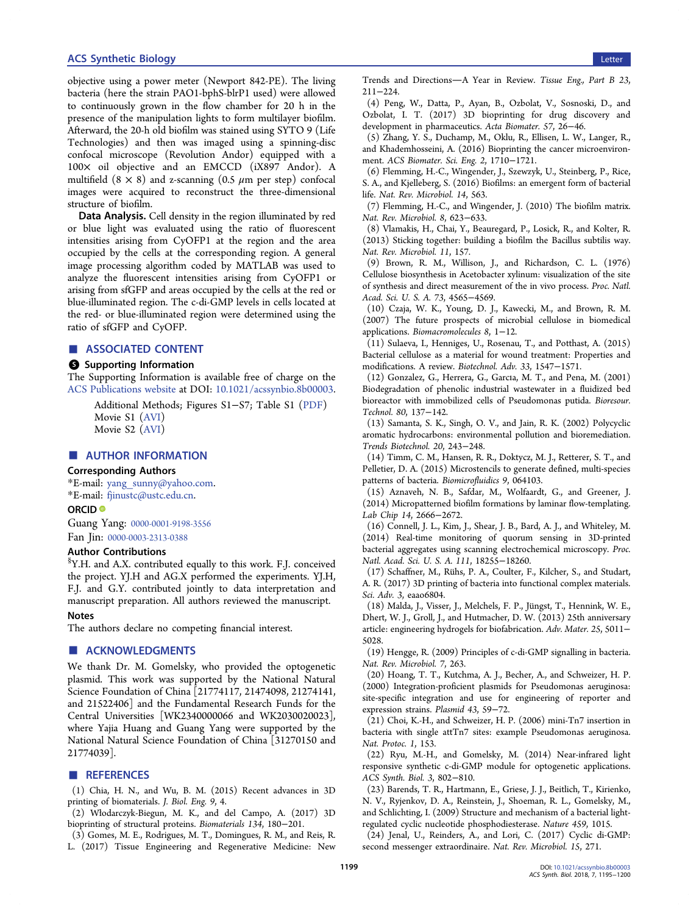#### <span id="page-4-0"></span>**ACS Synthetic Biology Letter and Synthetic Biology Letter and Synthetic Biology Letter and Synthetic Biology Letter and Synthetic Biology Letter and Synthetic Biology Letter and Synthetic Biology Letter and Synthetic Biol**

objective using a power meter (Newport 842-PE). The living bacteria (here the strain PAO1-bphS-blrP1 used) were allowed to continuously grown in the flow chamber for 20 h in the presence of the manipulation lights to form multilayer biofilm. Afterward, the 20-h old biofilm was stained using SYTO 9 (Life Technologies) and then was imaged using a spinning-disc confocal microscope (Revolution Andor) equipped with a 100× oil objective and an EMCCD (iX897 Andor). A multifield  $(8 \times 8)$  and z-scanning  $(0.5 \mu m$  per step) confocal images were acquired to reconstruct the three-dimensional structure of biofilm.

Data Analysis. Cell density in the region illuminated by red or blue light was evaluated using the ratio of fluorescent intensities arising from CyOFP1 at the region and the area occupied by the cells at the corresponding region. A general image processing algorithm coded by MATLAB was used to analyze the fluorescent intensities arising from CyOFP1 or arising from sfGFP and areas occupied by the cells at the red or blue-illuminated region. The c-di-GMP levels in cells located at the red- or blue-illuminated region were determined using the ratio of sfGFP and CyOFP.

#### ■ ASSOCIATED CONTENT

#### **9** Supporting Information

The Supporting Information is available free of charge on the [ACS Publications website](http://pubs.acs.org) at DOI: [10.1021/acssynbio.8b00003](http://pubs.acs.org/doi/abs/10.1021/acssynbio.8b00003).

Additional Methods; Figures S1−S7; Table S1 [\(PDF\)](http://pubs.acs.org/doi/suppl/10.1021/acssynbio.8b00003/suppl_file/sb8b00003_si_001.pdf) Movie S1 ([AVI\)](http://pubs.acs.org/doi/suppl/10.1021/acssynbio.8b00003/suppl_file/sb8b00003_si_002.avi) Movie S2 ([AVI\)](http://pubs.acs.org/doi/suppl/10.1021/acssynbio.8b00003/suppl_file/sb8b00003_si_003.avi)

#### ■ AUTHOR INFORMATION

#### Corresponding Authors

\*E-mail: [yang\\_sunny@yahoo.com](mailto:yang_sunny@yahoo.com). \*E-mail: [fjinustc@ustc.edu.cn](mailto:fjinustc@ustc.edu.cn).

#### ORCID<sup>®</sup>

Guang Yang: [0000-0001-9198-3556](http://orcid.org/0000-0001-9198-3556) Fan Jin: [0000-0003-2313-0388](http://orcid.org/0000-0003-2313-0388)

#### Author Contributions

 ${}^{\S}\mathrm{Y.H.}$  and A.X. contributed equally to this work. F.J. conceived the project. YJ.H and AG.X performed the experiments. YJ.H, F.J. and G.Y. contributed jointly to data interpretation and manuscript preparation. All authors reviewed the manuscript.

#### Notes

The authors declare no competing financial interest.

#### ■ ACKNOWLEDGMENTS

We thank Dr. M. Gomelsky, who provided the optogenetic plasmid. This work was supported by the National Natural Science Foundation of China [21774117, 21474098, 21274141, and 21522406] and the Fundamental Research Funds for the Central Universities [WK2340000066 and WK2030020023], where Yajia Huang and Guang Yang were supported by the National Natural Science Foundation of China [31270150 and 21774039].

## **ENDINGERERGIES**

(1) Chia, H. N., and Wu, B. M. (2015) Recent advances in 3D printing of biomaterials. J. Biol. Eng. 9, 4.

(2) Włodarczyk-Biegun, M. K., and del Campo, A. (2017) 3D bioprinting of structural proteins. Biomaterials 134, 180−201.

(3) Gomes, M. E., Rodrigues, M. T., Domingues, R. M., and Reis, R. L. (2017) Tissue Engineering and Regenerative Medicine: New Trends and Directions-A Year in Review. Tissue Eng., Part B 23, 211−224.

(4) Peng, W., Datta, P., Ayan, B., Ozbolat, V., Sosnoski, D., and Ozbolat, I. T. (2017) 3D bioprinting for drug discovery and development in pharmaceutics. Acta Biomater. 57, 26−46.

(5) Zhang, Y. S., Duchamp, M., Oklu, R., Ellisen, L. W., Langer, R., and Khademhosseini, A. (2016) Bioprinting the cancer microenvironment. ACS Biomater. Sci. Eng. 2, 1710−1721.

(6) Flemming, H.-C., Wingender, J., Szewzyk, U., Steinberg, P., Rice, S. A., and Kjelleberg, S. (2016) Biofilms: an emergent form of bacterial life. Nat. Rev. Microbiol. 14, 563.

(7) Flemming, H.-C., and Wingender, J. (2010) The biofilm matrix. Nat. Rev. Microbiol. 8, 623−633.

(8) Vlamakis, H., Chai, Y., Beauregard, P., Losick, R., and Kolter, R. (2013) Sticking together: building a biofilm the Bacillus subtilis way. Nat. Rev. Microbiol. 11, 157.

(9) Brown, R. M., Willison, J., and Richardson, C. L. (1976) Cellulose biosynthesis in Acetobacter xylinum: visualization of the site of synthesis and direct measurement of the in vivo process. Proc. Natl. Acad. Sci. U. S. A. 73, 4565−4569.

(10) Czaja, W. K., Young, D. J., Kawecki, M., and Brown, R. M. (2007) The future prospects of microbial cellulose in biomedical applications. Biomacromolecules 8, 1−12.

(11) Sulaeva, I., Henniges, U., Rosenau, T., and Potthast, A. (2015) Bacterial cellulose as a material for wound treatment: Properties and modifications. A review. Biotechnol. Adv. 33, 1547−1571.

(12) Gonzalez, G., Herrera, G., Garcıa, M. T., and Pena, M. (2001) Biodegradation of phenolic industrial wastewater in a fluidized bed bioreactor with immobilized cells of Pseudomonas putida. Bioresour. Technol. 80, 137−142.

(13) Samanta, S. K., Singh, O. V., and Jain, R. K. (2002) Polycyclic aromatic hydrocarbons: environmental pollution and bioremediation. Trends Biotechnol. 20, 243−248.

(14) Timm, C. M., Hansen, R. R., Doktycz, M. J., Retterer, S. T., and Pelletier, D. A. (2015) Microstencils to generate defined, multi-species patterns of bacteria. Biomicrofluidics 9, 064103.

(15) Aznaveh, N. B., Safdar, M., Wolfaardt, G., and Greener, J. (2014) Micropatterned biofilm formations by laminar flow-templating. Lab Chip 14, 2666−2672.

(16) Connell, J. L., Kim, J., Shear, J. B., Bard, A. J., and Whiteley, M. (2014) Real-time monitoring of quorum sensing in 3D-printed bacterial aggregates using scanning electrochemical microscopy. Proc. Natl. Acad. Sci. U. S. A. 111, 18255−18260.

(17) Schaffner, M., Rü hs, P. A., Coulter, F., Kilcher, S., and Studart, A. R. (2017) 3D printing of bacteria into functional complex materials. Sci. Adv. 3, eaao6804.

(18) Malda, J., Visser, J., Melchels, F. P., Jü ngst, T., Hennink, W. E., Dhert, W. J., Groll, J., and Hutmacher, D. W. (2013) 25th anniversary article: engineering hydrogels for biofabrication. Adv. Mater. 25, 5011− 5028.

(19) Hengge, R. (2009) Principles of c-di-GMP signalling in bacteria. Nat. Rev. Microbiol. 7, 263.

(20) Hoang, T. T., Kutchma, A. J., Becher, A., and Schweizer, H. P. (2000) Integration-proficient plasmids for Pseudomonas aeruginosa: site-specific integration and use for engineering of reporter and expression strains. Plasmid 43, 59−72.

(21) Choi, K.-H., and Schweizer, H. P. (2006) mini-Tn7 insertion in bacteria with single attTn7 sites: example Pseudomonas aeruginosa. Nat. Protoc. 1, 153.

(22) Ryu, M.-H., and Gomelsky, M. (2014) Near-infrared light responsive synthetic c-di-GMP module for optogenetic applications. ACS Synth. Biol. 3, 802−810.

(23) Barends, T. R., Hartmann, E., Griese, J. J., Beitlich, T., Kirienko, N. V., Ryjenkov, D. A., Reinstein, J., Shoeman, R. L., Gomelsky, M., and Schlichting, I. (2009) Structure and mechanism of a bacterial lightregulated cyclic nucleotide phosphodiesterase. Nature 459, 1015.

(24) Jenal, U., Reinders, A., and Lori, C. (2017) Cyclic di-GMP: second messenger extraordinaire. Nat. Rev. Microbiol. 15, 271.